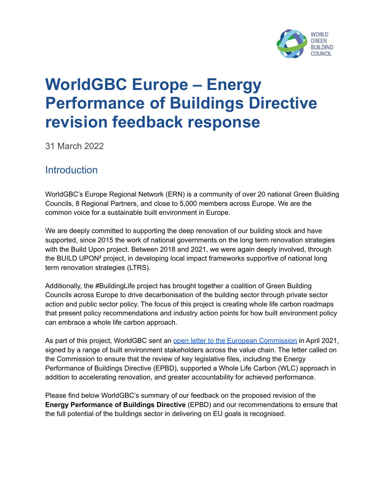

# **WorldGBC Europe – Energy Performance of Buildings Directive revision feedback response**

31 March 2022

## **Introduction**

WorldGBC's Europe Regional Network (ERN) is a community of over 20 national Green Building Councils, 8 Regional Partners, and close to 5,000 members across Europe. We are the common voice for a sustainable built environment in Europe.

We are deeply committed to supporting the deep renovation of our building stock and have supported, since 2015 the work of national governments on the long term renovation strategies with the Build Upon project. Between 2018 and 2021, we were again deeply involved, through the BUILD UPON² project, in developing local impact frameworks supportive of national long term renovation strategies (LTRS).

Additionally, the #BuildingLife project has brought together a coalition of Green Building Councils across Europe to drive decarbonisation of the building sector through private sector action and public sector policy. The focus of this project is creating whole life carbon roadmaps that present policy recommendations and industry action points for how built environment policy can embrace a whole life carbon approach.

As part of this project, WorldGBC sent an open letter to the European [Commission](https://www.worldgbc.org/sites/default/files/%23BuildingLife%20Open%20letter%20to%20policymakers.pdf) in April 2021, signed by a range of built environment stakeholders across the value chain. The letter called on the Commission to ensure that the review of key legislative files, including the Energy Performance of Buildings Directive (EPBD), supported a Whole Life Carbon (WLC) approach in addition to accelerating renovation, and greater accountability for achieved performance.

Please find below WorldGBC's summary of our feedback on the proposed revision of the **Energy Performance of Buildings Directive** (EPBD) and our recommendations to ensure that the full potential of the buildings sector in delivering on EU goals is recognised.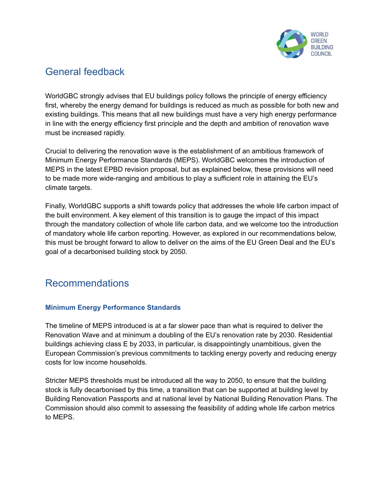

## General feedback

WorldGBC strongly advises that EU buildings policy follows the principle of energy efficiency first, whereby the energy demand for buildings is reduced as much as possible for both new and existing buildings. This means that all new buildings must have a very high energy performance in line with the energy efficiency first principle and the depth and ambition of renovation wave must be increased rapidly.

Crucial to delivering the renovation wave is the establishment of an ambitious framework of Minimum Energy Performance Standards (MEPS). WorldGBC welcomes the introduction of MEPS in the latest EPBD revision proposal, but as explained below, these provisions will need to be made more wide-ranging and ambitious to play a sufficient role in attaining the EU's climate targets.

Finally, WorldGBC supports a shift towards policy that addresses the whole life carbon impact of the built environment. A key element of this transition is to gauge the impact of this impact through the mandatory collection of whole life carbon data, and we welcome too the introduction of mandatory whole life carbon reporting. However, as explored in our recommendations below, this must be brought forward to allow to deliver on the aims of the EU Green Deal and the EU's goal of a decarbonised building stock by 2050.

# Recommendations

## **Minimum Energy Performance Standards**

The timeline of MEPS introduced is at a far slower pace than what is required to deliver the Renovation Wave and at minimum a doubling of the EU's renovation rate by 2030. Residential buildings achieving class E by 2033, in particular, is disappointingly unambitious, given the European Commission's previous commitments to tackling energy poverty and reducing energy costs for low income households.

Stricter MEPS thresholds must be introduced all the way to 2050, to ensure that the building stock is fully decarbonised by this time, a transition that can be supported at building level by Building Renovation Passports and at national level by National Building Renovation Plans. The Commission should also commit to assessing the feasibility of adding whole life carbon metrics to MEPS.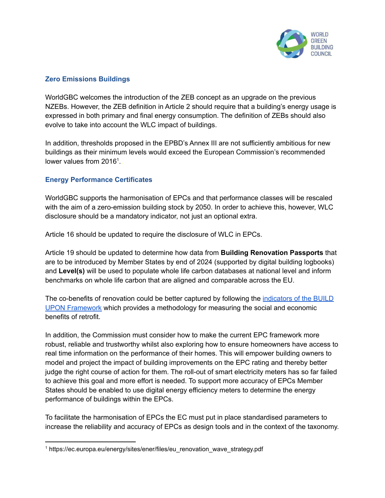

### **Zero Emissions Buildings**

WorldGBC welcomes the introduction of the ZEB concept as an upgrade on the previous NZEBs. However, the ZEB definition in Article 2 should require that a building's energy usage is expressed in both primary and final energy consumption. The definition of ZEBs should also evolve to take into account the WLC impact of buildings.

In addition, thresholds proposed in the EPBD's Annex III are not sufficiently ambitious for new buildings as their minimum levels would exceed the European Commission's recommended lower values from 2016<sup>1</sup>..

### **Energy Performance Certificates**

WorldGBC supports the harmonisation of EPCs and that performance classes will be rescaled with the aim of a zero-emission building stock by 2050. In order to achieve this, however, WLC disclosure should be a mandatory indicator, not just an optional extra.

Article 16 should be updated to require the disclosure of WLC in EPCs.

Article 19 should be updated to determine how data from **Building Renovation Passports** that are to be introduced by Member States by end of 2024 (supported by digital building logbooks) and **Level(s)** will be used to populate whole life carbon databases at national level and inform benchmarks on whole life carbon that are aligned and comparable across the EU.

The co-benefits of renovation could be better captured by following the [indicators](https://www.worldgbc.org/our-renovation-strategy-framework) of the BUILD UPON [Framework](https://www.worldgbc.org/our-renovation-strategy-framework) which provides a methodology for measuring the social and economic benefits of retrofit.

In addition, the Commission must consider how to make the current EPC framework more robust, reliable and trustworthy whilst also exploring how to ensure homeowners have access to real time information on the performance of their homes. This will empower building owners to model and project the impact of building improvements on the EPC rating and thereby better judge the right course of action for them. The roll-out of smart electricity meters has so far failed to achieve this goal and more effort is needed. To support more accuracy of EPCs Member States should be enabled to use digital energy efficiency meters to determine the energy performance of buildings within the EPCs.

To facilitate the harmonisation of EPCs the EC must put in place standardised parameters to increase the reliability and accuracy of EPCs as design tools and in the context of the taxonomy.

<sup>&</sup>lt;sup>1</sup> https://ec.europa.eu/energy/sites/ener/files/eu\_renovation\_wave\_strategy.pdf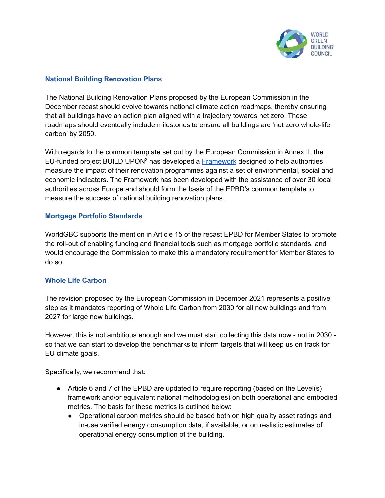

### **National Building Renovation Plans**

The National Building Renovation Plans proposed by the European Commission in the December recast should evolve towards national climate action roadmaps, thereby ensuring that all buildings have an action plan aligned with a trajectory towards net zero. These roadmaps should eventually include milestones to ensure all buildings are 'net zero whole-life carbon' by 2050.

With regards to the common template set out by the European Commission in Annex II, the EU-funded project BUILD UPON<sup>2</sup> has developed a **[Framework](https://www.worldgbc.org/our-renovation-strategy-framework)** designed to help authorities measure the impact of their renovation programmes against a set of environmental, social and economic indicators. The Framework has been developed with the assistance of over 30 local authorities across Europe and should form the basis of the EPBD's common template to measure the success of national building renovation plans.

#### **Mortgage Portfolio Standards**

WorldGBC supports the mention in Article 15 of the recast EPBD for Member States to promote the roll-out of enabling funding and financial tools such as mortgage portfolio standards, and would encourage the Commission to make this a mandatory requirement for Member States to do so.

#### **Whole Life Carbon**

The revision proposed by the European Commission in December 2021 represents a positive step as it mandates reporting of Whole Life Carbon from 2030 for all new buildings and from 2027 for large new buildings.

However, this is not ambitious enough and we must start collecting this data now - not in 2030 so that we can start to develop the benchmarks to inform targets that will keep us on track for EU climate goals.

Specifically, we recommend that:

- Article 6 and 7 of the EPBD are updated to require reporting (based on the Level(s) framework and/or equivalent national methodologies) on both operational and embodied metrics. The basis for these metrics is outlined below:
	- Operational carbon metrics should be based both on high quality asset ratings and in-use verified energy consumption data, if available, or on realistic estimates of operational energy consumption of the building.